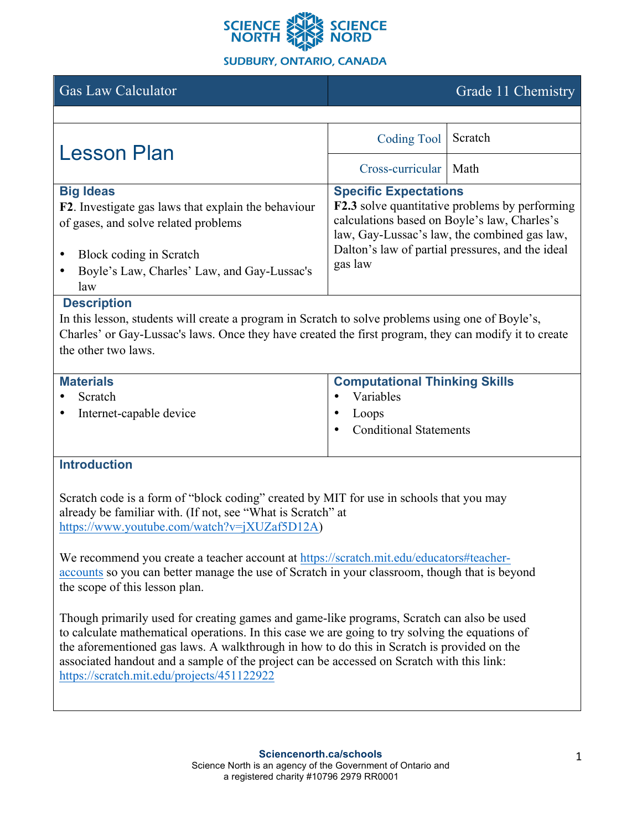

## **SUDBURY, ONTARIO, CANADA**

Gas Law Calculator Grade 11 Chemistry

| <b>Lesson Plan</b>                                                                                                                                                                               | <b>Coding Tool</b>                      | Scratch                                                                                                                                                                                                   |
|--------------------------------------------------------------------------------------------------------------------------------------------------------------------------------------------------|-----------------------------------------|-----------------------------------------------------------------------------------------------------------------------------------------------------------------------------------------------------------|
|                                                                                                                                                                                                  | Cross-curricular                        | Math                                                                                                                                                                                                      |
| <b>Big Ideas</b><br>F2. Investigate gas laws that explain the behaviour<br>of gases, and solve related problems<br>Block coding in Scratch<br>Boyle's Law, Charles' Law, and Gay-Lussac's<br>law | <b>Specific Expectations</b><br>gas law | <b>F2.3</b> solve quantitative problems by performing<br>calculations based on Boyle's law, Charles's<br>law, Gay-Lussac's law, the combined gas law.<br>Dalton's law of partial pressures, and the ideal |

## **Description**

In this lesson, students will create a program in Scratch to solve problems using one of Boyle's, Charles' or Gay-Lussac's laws. Once they have created the first program, they can modify it to create the other two laws.

| <b>Materials</b>                     | <b>Computational Thinking Skills</b> |
|--------------------------------------|--------------------------------------|
| Scratch<br>$\bullet$                 | Variables                            |
| Internet-capable device<br>$\bullet$ | Loops                                |
|                                      | <b>Conditional Statements</b>        |
|                                      |                                      |

## **Introduction**

Scratch code is a form of "block coding" created by MIT for use in schools that you may already be familiar with. (If not, see "What is Scratch" at https://www.youtube.com/watch?v=jXUZaf5D12A)

We recommend you create a teacher account at https://scratch.mit.edu/educators#teacheraccounts so you can better manage the use of Scratch in your classroom, though that is beyond the scope of this lesson plan.

Though primarily used for creating games and game-like programs, Scratch can also be used to calculate mathematical operations. In this case we are going to try solving the equations of the aforementioned gas laws. A walkthrough in how to do this in Scratch is provided on the associated handout and a sample of the project can be accessed on Scratch with this link: https://scratch.mit.edu/projects/451122922